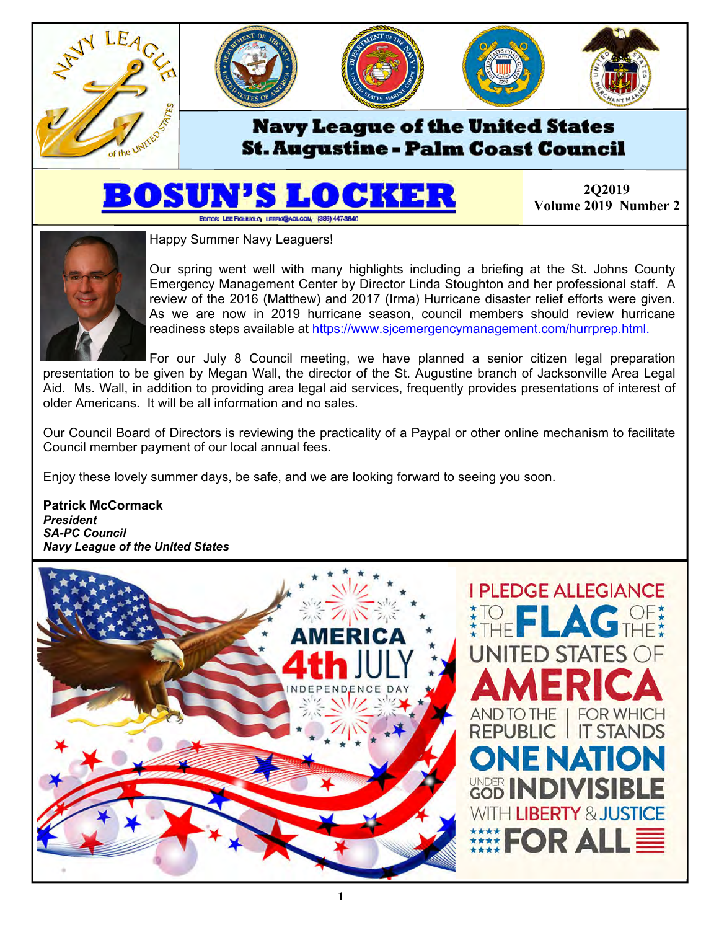

## **St. Augustine - Palm Coast Council**

# EDITOR: LEE FIGLIUOLO, LEEFIG@AOLCOM, (386) 447-3640

**2Q2019 Volume 2019 Number 2** 



Happy Summer Navy Leaguers!

Our spring went well with many highlights including a briefing at the St. Johns County Emergency Management Center by Director Linda Stoughton and her professional staff. A review of the 2016 (Matthew) and 2017 (Irma) Hurricane disaster relief efforts were given. As we are now in 2019 hurricane season, council members should review hurricane readiness steps available at https://www.sjcemergencymanagement.com/hurrprep.html.

For our July 8 Council meeting, we have planned a senior citizen legal preparation presentation to be given by Megan Wall, the director of the St. Augustine branch of Jacksonville Area Legal Aid. Ms. Wall, in addition to providing area legal aid services, frequently provides presentations of interest of older Americans. It will be all information and no sales.

Our Council Board of Directors is reviewing the practicality of a Paypal or other online mechanism to facilitate Council member payment of our local annual fees.

Enjoy these lovely summer days, be safe, and we are looking forward to seeing you soon.

**Patrick McCormack**  *President SA-PC Council Navy League of the United States* 

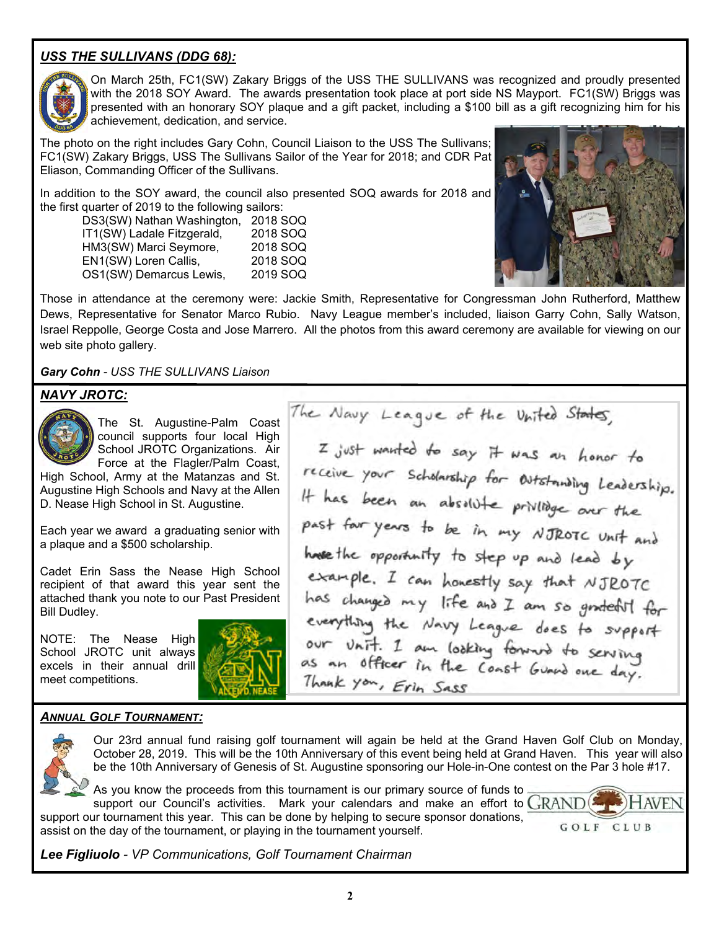## *USS THE SULLIVANS (DDG 68):*



On March 25th, FC1(SW) Zakary Briggs of the USS THE SULLIVANS was recognized and proudly presented with the 2018 SOY Award. The awards presentation took place at port side NS Mayport. FC1(SW) Briggs was presented with an honorary SOY plaque and a gift packet, including a \$100 bill as a gift recognizing him for his achievement, dedication, and service.

The photo on the right includes Gary Cohn, Council Liaison to the USS The Sullivans; FC1(SW) Zakary Briggs, USS The Sullivans Sailor of the Year for 2018; and CDR Pat Eliason, Commanding Officer of the Sullivans.

In addition to the SOY award, the council also presented SOQ awards for 2018 and the first quarter of 2019 to the following sailors:

 DS3(SW) Nathan Washington, 2018 SOQ IT1(SW) Ladale Fitzgerald, 2018 SOQ HM3(SW) Marci Seymore, 2018 SOQ EN1(SW) Loren Callis, 2018 SOQ OS1(SW) Demarcus Lewis, 2019 SOQ



Those in attendance at the ceremony were: Jackie Smith, Representative for Congressman John Rutherford, Matthew Dews, Representative for Senator Marco Rubio. Navy League member's included, liaison Garry Cohn, Sally Watson, Israel Reppolle, George Costa and Jose Marrero. All the photos from this award ceremony are available for viewing on our web site photo gallery.

*Gary Cohn - USS THE SULLIVANS Liaison* 

## *NAVY JROTC:*



The St. Augustine-Palm Coast council supports four local High School JROTC Organizations. Air Force at the Flagler/Palm Coast,

High School, Army at the Matanzas and St. Augustine High Schools and Navy at the Allen D. Nease High School in St. Augustine.

Each year we award a graduating senior with a plaque and a \$500 scholarship.

Cadet Erin Sass the Nease High School recipient of that award this year sent the attached thank you note to our Past President Bill Dudley.

NOTE: The Nease High School JROTC unit always excels in their annual drill meet competitions.



The Navy League of the United States, I just wanted to say it was an honor to receive your scholarship for Outstanding Leadership. It has been an absolute privilible over the past four years to be in my NJROTC Unit and have the opportunity to step up and lead by example. I can honestly say that NJROTC has changed my life and I am so grateful for everything the Navy League does to support our Unit. I am looking forward to serving as an officer in the Coast Guard one day. Thank you, Erin Sass

#### *ANNUAL GOLF TOURNAMENT:*



Our 23rd annual fund raising golf tournament will again be held at the Grand Haven Golf Club on Monday, October 28, 2019. This will be the 10th Anniversary of this event being held at Grand Haven. This year will also be the 10th Anniversary of Genesis of St. Augustine sponsoring our Hole-in-One contest on the Par 3 hole #17.

As you know the proceeds from this tournament is our primary source of funds to  $\overline{\phantom{a}}$ support our Council's activities. Mark your calendars and make an effort to  $\text{GRAND}(I)$ support our tournament this year. This can be done by helping to secure sponsor donations, assist on the day of the tournament, or playing in the tournament yourself.



*Lee Figliuolo - VP Communications, Golf Tournament Chairman*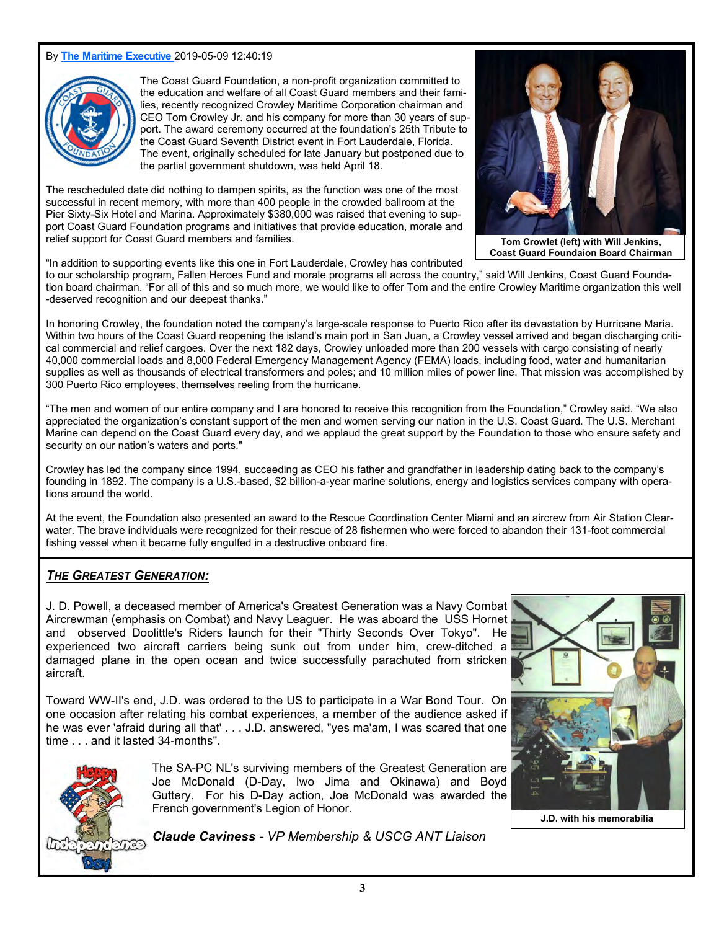#### By **The Maritime Executive** 2019-05-09 12:40:19



The Coast Guard Foundation, a non-profit organization committed to the education and welfare of all Coast Guard members and their families, recently recognized Crowley Maritime Corporation chairman and CEO Tom Crowley Jr. and his company for more than 30 years of support. The award ceremony occurred at the foundation's 25th Tribute to the Coast Guard Seventh District event in Fort Lauderdale, Florida. The event, originally scheduled for late January but postponed due to the partial government shutdown, was held April 18.

The rescheduled date did nothing to dampen spirits, as the function was one of the most successful in recent memory, with more than 400 people in the crowded ballroom at the Pier Sixty-Six Hotel and Marina. Approximately \$380,000 was raised that evening to support Coast Guard Foundation programs and initiatives that provide education, morale and relief support for Coast Guard members and families.



**Coast Guard Foundaion Board Chairman** 

"In addition to supporting events like this one in Fort Lauderdale, Crowley has contributed

to our scholarship program, Fallen Heroes Fund and morale programs all across the country," said Will Jenkins, Coast Guard Foundation board chairman. "For all of this and so much more, we would like to offer Tom and the entire Crowley Maritime organization this well -deserved recognition and our deepest thanks."

In honoring Crowley, the foundation noted the company's large-scale response to Puerto Rico after its devastation by Hurricane Maria. Within two hours of the Coast Guard reopening the island's main port in San Juan, a Crowley vessel arrived and began discharging critical commercial and relief cargoes. Over the next 182 days, Crowley unloaded more than 200 vessels with cargo consisting of nearly 40,000 commercial loads and 8,000 Federal Emergency Management Agency (FEMA) loads, including food, water and humanitarian supplies as well as thousands of electrical transformers and poles; and 10 million miles of power line. That mission was accomplished by 300 Puerto Rico employees, themselves reeling from the hurricane.

"The men and women of our entire company and I are honored to receive this recognition from the Foundation," Crowley said. "We also appreciated the organization's constant support of the men and women serving our nation in the U.S. Coast Guard. The U.S. Merchant Marine can depend on the Coast Guard every day, and we applaud the great support by the Foundation to those who ensure safety and security on our nation's waters and ports."

Crowley has led the company since 1994, succeeding as CEO his father and grandfather in leadership dating back to the company's founding in 1892. The company is a U.S.-based, \$2 billion-a-year marine solutions, energy and logistics services company with operations around the world.

At the event, the Foundation also presented an award to the Rescue Coordination Center Miami and an aircrew from Air Station Clearwater. The brave individuals were recognized for their rescue of 28 fishermen who were forced to abandon their 131-foot commercial fishing vessel when it became fully engulfed in a destructive onboard fire.

#### *THE GREATEST GENERATION:*

J. D. Powell, a deceased member of America's Greatest Generation was a Navy Combat Aircrewman (emphasis on Combat) and Navy Leaguer. He was aboard the USS Hornet and observed Doolittle's Riders launch for their "Thirty Seconds Over Tokyo". He experienced two aircraft carriers being sunk out from under him, crew-ditched a damaged plane in the open ocean and twice successfully parachuted from stricken aircraft.

Toward WW-II's end, J.D. was ordered to the US to participate in a War Bond Tour. On one occasion after relating his combat experiences, a member of the audience asked if he was ever 'afraid during all that' . . . J.D. answered, "yes ma'am, I was scared that one time . . . and it lasted 34-months".



The SA-PC NL's surviving members of the Greatest Generation are Joe McDonald (D-Day, Iwo Jima and Okinawa) and Boyd Guttery. For his D-Day action, Joe McDonald was awarded the French government's Legion of Honor.



**J.D. with his memorabilia** 

*Claude Caviness - VP Membership & USCG ANT Liaison*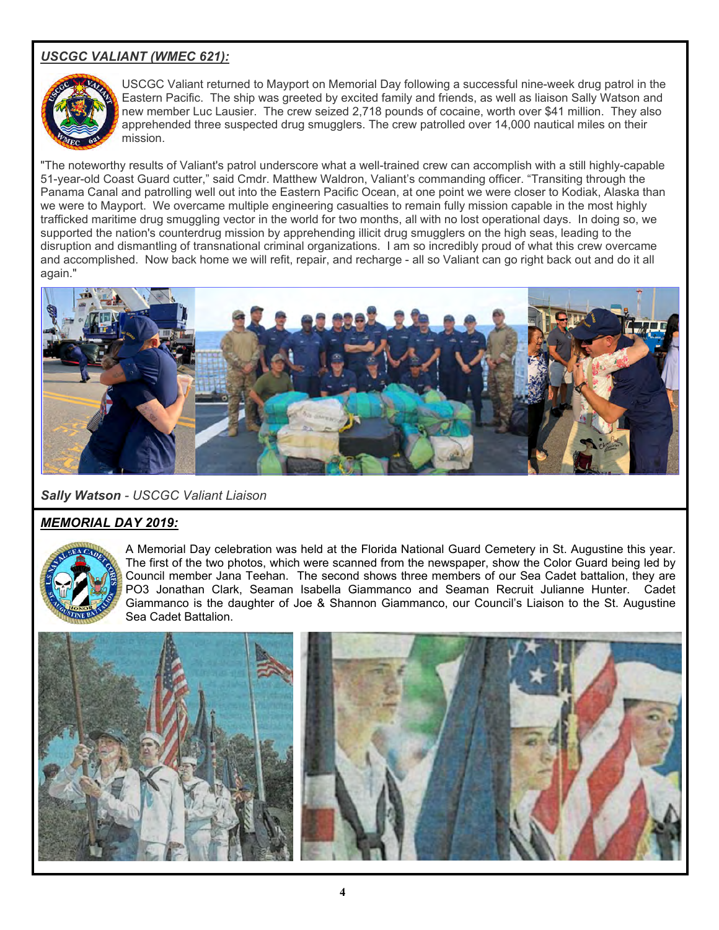## *USCGC VALIANT (WMEC 621):*



USCGC Valiant returned to Mayport on Memorial Day following a successful nine-week drug patrol in the Eastern Pacific. The ship was greeted by excited family and friends, as well as liaison Sally Watson and new member Luc Lausier. The crew seized 2,718 pounds of cocaine, worth over \$41 million. They also apprehended three suspected drug smugglers. The crew patrolled over 14,000 nautical miles on their mission.

"The noteworthy results of Valiant's patrol underscore what a well-trained crew can accomplish with a still highly-capable 51-year-old Coast Guard cutter," said Cmdr. Matthew Waldron, Valiant's commanding officer. "Transiting through the Panama Canal and patrolling well out into the Eastern Pacific Ocean, at one point we were closer to Kodiak, Alaska than we were to Mayport. We overcame multiple engineering casualties to remain fully mission capable in the most highly trafficked maritime drug smuggling vector in the world for two months, all with no lost operational days. In doing so, we supported the nation's counterdrug mission by apprehending illicit drug smugglers on the high seas, leading to the disruption and dismantling of transnational criminal organizations. I am so incredibly proud of what this crew overcame and accomplished. Now back home we will refit, repair, and recharge - all so Valiant can go right back out and do it all again."



*Sally Watson - USCGC Valiant Liaison*

## *MEMORIAL DAY 2019:*



A Memorial Day celebration was held at the Florida National Guard Cemetery in St. Augustine this year. The first of the two photos, which were scanned from the newspaper, show the Color Guard being led by Council member Jana Teehan. The second shows three members of our Sea Cadet battalion, they are PO3 Jonathan Clark, Seaman Isabella Giammanco and Seaman Recruit Julianne Hunter. Cadet Giammanco is the daughter of Joe & Shannon Giammanco, our Council's Liaison to the St. Augustine Sea Cadet Battalion.

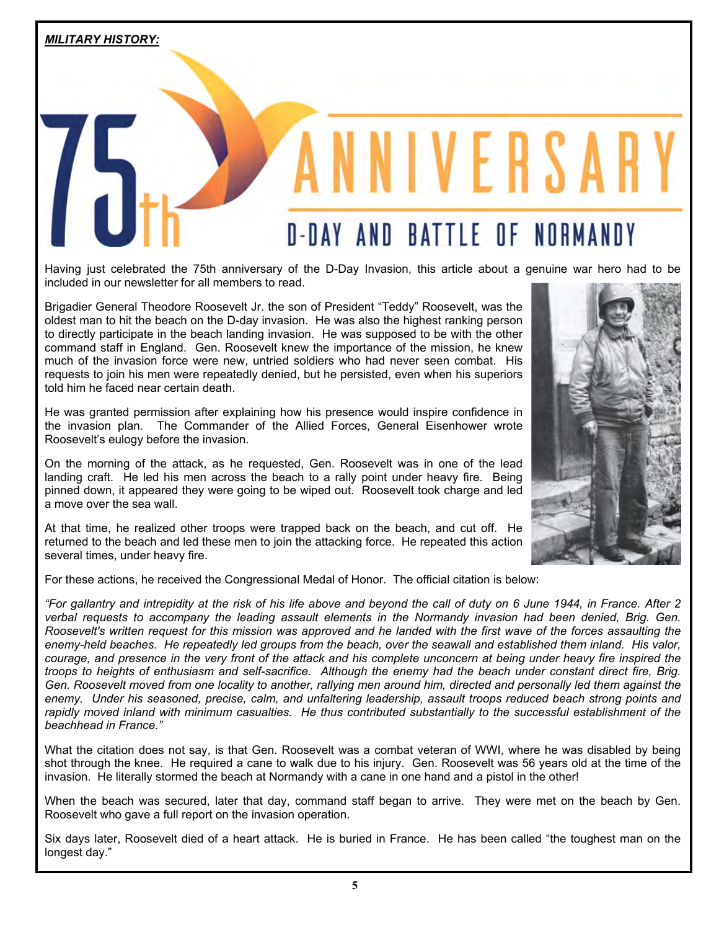## **D-DAY AND BATTLE OF NORMANDY**

NIVERSAR

Having just celebrated the 75th anniversary of the D-Day Invasion, this article about a genuine war hero had to be included in our newsletter for all members to read.

Brigadier General Theodore Roosevelt Jr. the son of President "Teddy" Roosevelt, was the oldest man to hit the beach on the D-day invasion. He was also the highest ranking person to directly participate in the beach landing invasion. He was supposed to be with the other command staff in England. Gen. Roosevelt knew the importance of the mission, he knew much of the invasion force were new, untried soldiers who had never seen combat. His requests to join his men were repeatedly denied, but he persisted, even when his superiors told him he faced near certain death.

He was granted permission after explaining how his presence would inspire confidence in the invasion plan. The Commander of the Allied Forces, General Eisenhower wrote Roosevelt's eulogy before the invasion.

On the morning of the attack, as he requested, Gen. Roosevelt was in one of the lead landing craft. He led his men across the beach to a rally point under heavy fire. Being pinned down, it appeared they were going to be wiped out. Roosevelt took charge and led a move over the sea wall.

At that time, he realized other troops were trapped back on the beach, and cut off. He returned to the beach and led these men to join the attacking force. He repeated this action several times, under heavy fire.

For these actions, he received the Congressional Medal of Honor. The official citation is below:

*"For gallantry and intrepidity at the risk of his life above and beyond the call of duty on 6 June 1944, in France. After 2 verbal requests to accompany the leading assault elements in the Normandy invasion had been denied, Brig. Gen. Roosevelt's written request for this mission was approved and he landed with the first wave of the forces assaulting the enemy-held beaches. He repeatedly led groups from the beach, over the seawall and established them inland. His valor, courage, and presence in the very front of the attack and his complete unconcern at being under heavy fire inspired the troops to heights of enthusiasm and self-sacrifice. Although the enemy had the beach under constant direct fire, Brig. Gen. Roosevelt moved from one locality to another, rallying men around him, directed and personally led them against the enemy. Under his seasoned, precise, calm, and unfaltering leadership, assault troops reduced beach strong points and rapidly moved inland with minimum casualties. He thus contributed substantially to the successful establishment of the beachhead in France."*

What the citation does not say, is that Gen. Roosevelt was a combat veteran of WWI, where he was disabled by being shot through the knee. He required a cane to walk due to his injury. Gen. Roosevelt was 56 years old at the time of the invasion. He literally stormed the beach at Normandy with a cane in one hand and a pistol in the other!

When the beach was secured, later that day, command staff began to arrive. They were met on the beach by Gen. Roosevelt who gave a full report on the invasion operation.

Six days later, Roosevelt died of a heart attack. He is buried in France. He has been called "the toughest man on the longest day."